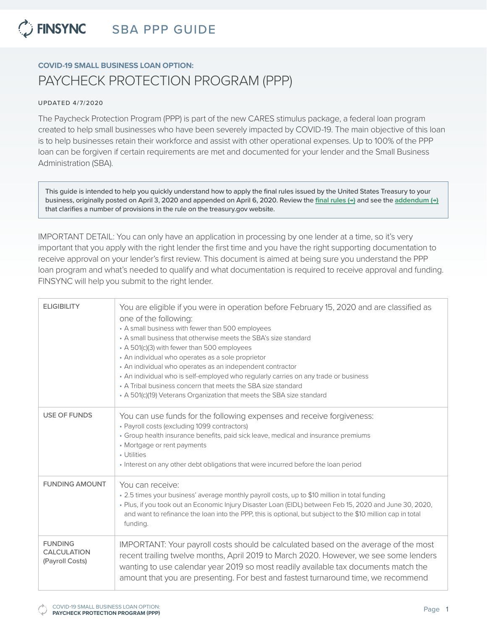### **C** FINSYNC SBA PPP GUIDE

## **COVID-19 SMALL BUSINESS LOAN OPTION:** PAYCHECK PROTECTION PROGRAM (PPP)

### UPDATED 4/7/2020

The Paycheck Protection Program (PPP) is part of the new CARES stimulus package, a federal loan program created to help small businesses who have been severely impacted by COVID-19. The main objective of this loan is to help businesses retain their workforce and assist with other operational expenses. Up to 100% of the PPP loan can be forgiven if certain requirements are met and documented for your lender and the Small Business Administration (SBA).

This guide is intended to help you quickly understand how to apply the final rules issued by the United States Treasury to your business, originally posted on April 3, 2020 and appended on April 6, 2020. Review the **[final rules \(→\)](https://home.treasury.gov/system/files/136/PPP--IFRN%20FINAL.pdf)** and see the **[addendum \(→\)](https://home.treasury.gov/system/files/136/Paycheck-Protection-Program-Frequenty-Asked-Questions.pdf)** that clarifies a number of provisions in the rule on the treasury.gov website.

IMPORTANT DETAIL: You can only have an application in processing by one lender at a time, so it's very important that you apply with the right lender the first time and you have the right supporting documentation to receive approval on your lender's first review. This document is aimed at being sure you understand the PPP loan program and what's needed to qualify and what documentation is required to receive approval and funding. FINSYNC will help you submit to the right lender.

| <b>ELIGIBILITY</b>                                      | You are eligible if you were in operation before February 15, 2020 and are classified as<br>one of the following:<br>• A small business with fewer than 500 employees<br>• A small business that otherwise meets the SBA's size standard<br>• A 501(c)(3) with fewer than 500 employees<br>• An individual who operates as a sole proprietor<br>• An individual who operates as an independent contractor<br>• An individual who is self-employed who regularly carries on any trade or business<br>• A Tribal business concern that meets the SBA size standard<br>• A 501(c)(19) Veterans Organization that meets the SBA size standard |
|---------------------------------------------------------|-------------------------------------------------------------------------------------------------------------------------------------------------------------------------------------------------------------------------------------------------------------------------------------------------------------------------------------------------------------------------------------------------------------------------------------------------------------------------------------------------------------------------------------------------------------------------------------------------------------------------------------------|
| <b>USE OF FUNDS</b>                                     | You can use funds for the following expenses and receive forgiveness:<br>• Payroll costs (excluding 1099 contractors)<br>• Group health insurance benefits, paid sick leave, medical and insurance premiums<br>• Mortgage or rent payments<br>• Utilities<br>• Interest on any other debt obligations that were incurred before the loan period                                                                                                                                                                                                                                                                                           |
| <b>FUNDING AMOUNT</b>                                   | You can receive:<br>• 2.5 times your business' average monthly payroll costs, up to \$10 million in total funding<br>. Plus, if you took out an Economic Injury Disaster Loan (EIDL) between Feb 15, 2020 and June 30, 2020,<br>and want to refinance the loan into the PPP, this is optional, but subject to the \$10 million cap in total<br>funding.                                                                                                                                                                                                                                                                                   |
| <b>FUNDING</b><br><b>CALCULATION</b><br>(Payroll Costs) | IMPORTANT: Your payroll costs should be calculated based on the average of the most<br>recent trailing twelve months, April 2019 to March 2020. However, we see some lenders<br>wanting to use calendar year 2019 so most readily available tax documents match the<br>amount that you are presenting. For best and fastest turnaround time, we recommend                                                                                                                                                                                                                                                                                 |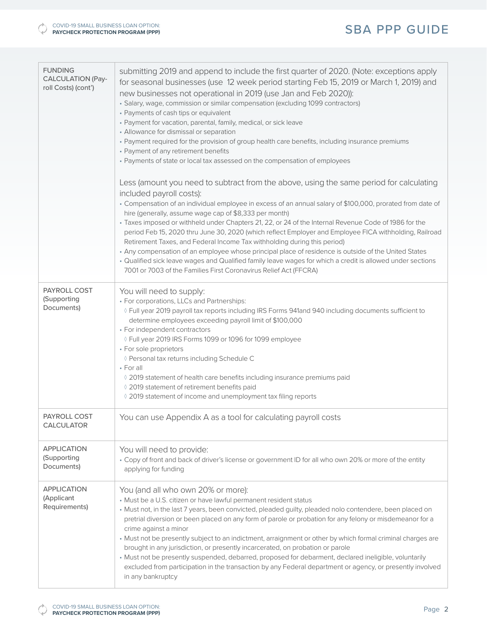## SBA PPP GUIDE

| <b>FUNDING</b><br><b>CALCULATION (Pay-</b><br>roll Costs) (cont') | submitting 2019 and append to include the first quarter of 2020. (Note: exceptions apply<br>for seasonal businesses (use 12 week period starting Feb 15, 2019 or March 1, 2019) and<br>new businesses not operational in 2019 (use Jan and Feb 2020)):<br>· Salary, wage, commission or similar compensation (excluding 1099 contractors)<br>• Payments of cash tips or equivalent<br>• Payment for vacation, parental, family, medical, or sick leave<br>• Allowance for dismissal or separation<br>• Payment required for the provision of group health care benefits, including insurance premiums<br>• Payment of any retirement benefits<br>• Payments of state or local tax assessed on the compensation of employees<br>Less (amount you need to subtract from the above, using the same period for calculating<br>included payroll costs):<br>· Compensation of an individual employee in excess of an annual salary of \$100,000, prorated from date of<br>hire (generally, assume wage cap of \$8,333 per month)<br>· Taxes imposed or withheld under Chapters 21, 22, or 24 of the Internal Revenue Code of 1986 for the<br>period Feb 15, 2020 thru June 30, 2020 (which reflect Employer and Employee FICA withholding, Railroad<br>Retirement Taxes, and Federal Income Tax withholding during this period)<br>• Any compensation of an employee whose principal place of residence is outside of the United States<br>. Qualified sick leave wages and Qualified family leave wages for which a credit is allowed under sections |
|-------------------------------------------------------------------|-------------------------------------------------------------------------------------------------------------------------------------------------------------------------------------------------------------------------------------------------------------------------------------------------------------------------------------------------------------------------------------------------------------------------------------------------------------------------------------------------------------------------------------------------------------------------------------------------------------------------------------------------------------------------------------------------------------------------------------------------------------------------------------------------------------------------------------------------------------------------------------------------------------------------------------------------------------------------------------------------------------------------------------------------------------------------------------------------------------------------------------------------------------------------------------------------------------------------------------------------------------------------------------------------------------------------------------------------------------------------------------------------------------------------------------------------------------------------------------------------------------------------------------------------|
|                                                                   | 7001 or 7003 of the Families First Coronavirus Relief Act (FFCRA)                                                                                                                                                                                                                                                                                                                                                                                                                                                                                                                                                                                                                                                                                                                                                                                                                                                                                                                                                                                                                                                                                                                                                                                                                                                                                                                                                                                                                                                                               |
| PAYROLL COST<br>(Supporting<br>Documents)                         | You will need to supply:<br>• For corporations, LLCs and Partnerships:<br>♦ Full year 2019 payroll tax reports including IRS Forms 941and 940 including documents sufficient to<br>determine employees exceeding payroll limit of \$100,000<br>• For independent contractors<br>◊ Full year 2019 IRS Forms 1099 or 1096 for 1099 employee<br>• For sole proprietors<br>♦ Personal tax returns including Schedule C<br>$\cdot$ For all<br>◊ 2019 statement of health care benefits including insurance premiums paid<br>◊ 2019 statement of retirement benefits paid<br>◊ 2019 statement of income and unemployment tax filing reports                                                                                                                                                                                                                                                                                                                                                                                                                                                                                                                                                                                                                                                                                                                                                                                                                                                                                                           |
| <b>PAYROLL COST</b><br><b>CALCULATOR</b>                          | You can use Appendix A as a tool for calculating payroll costs                                                                                                                                                                                                                                                                                                                                                                                                                                                                                                                                                                                                                                                                                                                                                                                                                                                                                                                                                                                                                                                                                                                                                                                                                                                                                                                                                                                                                                                                                  |
| <b>APPLICATION</b><br>(Supporting<br>Documents)                   | You will need to provide:<br>• Copy of front and back of driver's license or government ID for all who own 20% or more of the entity<br>applying for funding                                                                                                                                                                                                                                                                                                                                                                                                                                                                                                                                                                                                                                                                                                                                                                                                                                                                                                                                                                                                                                                                                                                                                                                                                                                                                                                                                                                    |
| <b>APPLICATION</b><br>(Applicant<br>Requirements)                 | You (and all who own 20% or more):<br>• Must be a U.S. citizen or have lawful permanent resident status<br>· Must not, in the last 7 years, been convicted, pleaded guilty, pleaded nolo contendere, been placed on<br>pretrial diversion or been placed on any form of parole or probation for any felony or misdemeanor for a<br>crime against a minor<br>• Must not be presently subject to an indictment, arraignment or other by which formal criminal charges are<br>brought in any jurisdiction, or presently incarcerated, on probation or parole<br>· Must not be presently suspended, debarred, proposed for debarment, declared ineligible, voluntarily<br>excluded from participation in the transaction by any Federal department or agency, or presently involved<br>in any bankruptcy                                                                                                                                                                                                                                                                                                                                                                                                                                                                                                                                                                                                                                                                                                                                            |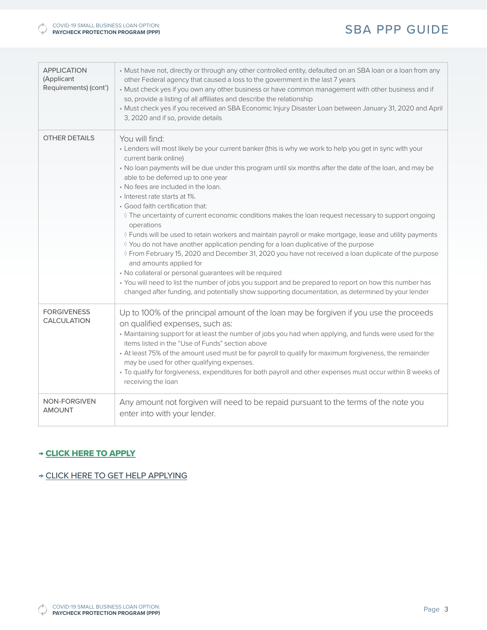## SBA PPP GUIDE

| <b>APPLICATION</b><br>(Applicant<br>Requirements) (cont') | • Must have not, directly or through any other controlled entity, defaulted on an SBA loan or a loan from any<br>other Federal agency that caused a loss to the government in the last 7 years<br>• Must check yes if you own any other business or have common management with other business and if<br>so, provide a listing of all affiliates and describe the relationship<br>• Must check yes if you received an SBA Economic Injury Disaster Loan between January 31, 2020 and April<br>3, 2020 and if so, provide details |
|-----------------------------------------------------------|----------------------------------------------------------------------------------------------------------------------------------------------------------------------------------------------------------------------------------------------------------------------------------------------------------------------------------------------------------------------------------------------------------------------------------------------------------------------------------------------------------------------------------|
| <b>OTHER DETAILS</b>                                      | You will find:                                                                                                                                                                                                                                                                                                                                                                                                                                                                                                                   |
|                                                           | . Lenders will most likely be your current banker (this is why we work to help you get in sync with your<br>current bank online)                                                                                                                                                                                                                                                                                                                                                                                                 |
|                                                           | . No loan payments will be due under this program until six months after the date of the loan, and may be<br>able to be deferred up to one year                                                                                                                                                                                                                                                                                                                                                                                  |
|                                                           | • No fees are included in the loan.                                                                                                                                                                                                                                                                                                                                                                                                                                                                                              |
|                                                           | · Interest rate starts at 1%.<br>• Good faith certification that:                                                                                                                                                                                                                                                                                                                                                                                                                                                                |
|                                                           | ♦ The uncertainty of current economic conditions makes the loan request necessary to support ongoing<br>operations                                                                                                                                                                                                                                                                                                                                                                                                               |
|                                                           | ◊ Funds will be used to retain workers and maintain payroll or make mortgage, lease and utility payments                                                                                                                                                                                                                                                                                                                                                                                                                         |
|                                                           | ◊ You do not have another application pending for a loan duplicative of the purpose<br>♦ From February 15, 2020 and December 31, 2020 you have not received a loan duplicate of the purpose<br>and amounts applied for                                                                                                                                                                                                                                                                                                           |
|                                                           | • No collateral or personal guarantees will be required                                                                                                                                                                                                                                                                                                                                                                                                                                                                          |
|                                                           | • You will need to list the number of jobs you support and be prepared to report on how this number has<br>changed after funding, and potentially show supporting documentation, as determined by your lender                                                                                                                                                                                                                                                                                                                    |
| <b>FORGIVENESS</b><br>CALCULATION                         | Up to 100% of the principal amount of the loan may be forgiven if you use the proceeds<br>on qualified expenses, such as:                                                                                                                                                                                                                                                                                                                                                                                                        |
|                                                           | • Maintaining support for at least the number of jobs you had when applying, and funds were used for the<br>items listed in the "Use of Funds" section above                                                                                                                                                                                                                                                                                                                                                                     |
|                                                           | • At least 75% of the amount used must be for payroll to qualify for maximum forgiveness, the remainder                                                                                                                                                                                                                                                                                                                                                                                                                          |
|                                                           | may be used for other qualifying expenses.<br>· To qualify for forgiveness, expenditures for both payroll and other expenses must occur within 8 weeks of<br>receiving the loan                                                                                                                                                                                                                                                                                                                                                  |
| <b>NON-FORGIVEN</b><br><b>AMOUNT</b>                      | Any amount not forgiven will need to be repaid pursuant to the terms of the note you<br>enter into with your lender.                                                                                                                                                                                                                                                                                                                                                                                                             |

## → [CLICK HERE TO APPLY](https://www.finsync.com/sba)

### → [CLICK HERE TO GET HELP APPLYING](http://svs.finsync.com/businesses)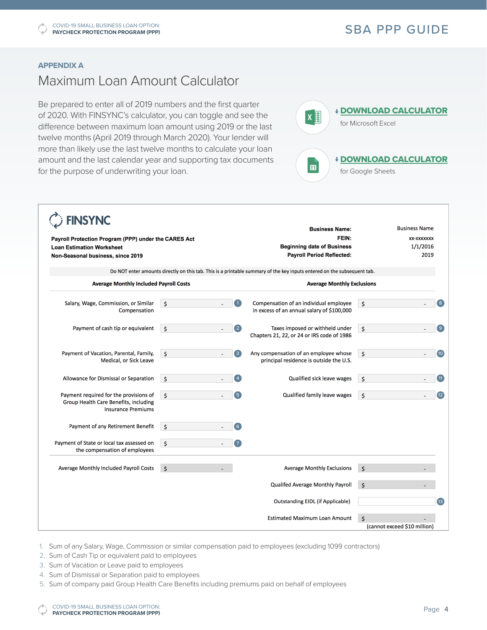### **APPENDIX A**

## Maximum Loan Amount Calculator

Be prepared to enter all of 2019 numbers and the first quarter of 2020. With FINSYNC's calculator, you can toggle and see the difference between maximum loan amount using 2019 or the last twelve months (April 2019 through March 2020). Your lender will more than likely use the last twelve months to calculate your loan amount and the last calendar year and supporting tax documents for the purpose of underwriting your loan.



| <b>FINSYNC</b><br>Payroll Protection Program (PPP) under the CARES Act<br><b>Loan Estimation Worksheet</b><br>Non-Seasonal business, since 2019 |                     |                         | <b>Business Name:</b>                                                                                                   | <b>Business Name</b>         |  |
|-------------------------------------------------------------------------------------------------------------------------------------------------|---------------------|-------------------------|-------------------------------------------------------------------------------------------------------------------------|------------------------------|--|
|                                                                                                                                                 |                     |                         | FEIN:<br><b>Beginning date of Business</b>                                                                              | XX-XXXXXXX                   |  |
|                                                                                                                                                 |                     |                         |                                                                                                                         | 1/1/2016                     |  |
|                                                                                                                                                 |                     |                         | <b>Payroll Period Reflected:</b>                                                                                        | 2019                         |  |
|                                                                                                                                                 |                     |                         | Do NOT enter amounts directly on this tab. This is a printable summary of the key inputs entered on the subsequent tab. |                              |  |
| <b>Average Monthly Included Payroll Costs</b>                                                                                                   |                     |                         | <b>Average Monthly Exclusions</b>                                                                                       |                              |  |
| Salary, Wage, Commission, or Similar                                                                                                            | $\mathsf{\hat{S}}$  | $\mathbf{1}$            | Compensation of an individual employee                                                                                  | \$<br>$\mathbf{g}$           |  |
| Compensation                                                                                                                                    |                     |                         | in excess of an annual salary of \$100,000                                                                              |                              |  |
| Payment of cash tip or equivalent                                                                                                               | \$                  | $\overline{\mathbf{2}}$ | Taxes imposed or withheld under                                                                                         | $\left( 9\right)$<br>\$      |  |
|                                                                                                                                                 |                     |                         | Chapters 21, 22, or 24 or IRS code of 1986                                                                              |                              |  |
| Payment of Vacation, Parental, Family,                                                                                                          | $\ddot{\mathsf{s}}$ | $\overline{\mathbf{3}}$ | Any compensation of an employee whose                                                                                   | \$<br>(10)                   |  |
| Medical, or Sick Leave                                                                                                                          |                     |                         | principal residence is outside the U.S.                                                                                 |                              |  |
| Allowance for Dismissal or Separation                                                                                                           | $\mathsf{\hat{S}}$  | $\left 4\right $        | Qualified sick leave wages                                                                                              | \$<br>(11)                   |  |
| Payment required for the provisions of                                                                                                          | $\mathsf{S}$        | $\sqrt{5}$              | Qualified family leave wages                                                                                            | \$<br>(12)                   |  |
| Group Health Care Benefits, including<br><b>Insurance Premiums</b>                                                                              |                     |                         |                                                                                                                         |                              |  |
| Payment of any Retirement Benefit                                                                                                               | $\mathsf{\hat{S}}$  | $\left( 6\right)$       |                                                                                                                         |                              |  |
| Payment of State or local tax assessed on                                                                                                       | $\dot{\mathsf{s}}$  | $\sqrt{7}$              |                                                                                                                         |                              |  |
| the compensation of employees                                                                                                                   |                     |                         |                                                                                                                         |                              |  |
| Average Monthly Included Payroll Costs                                                                                                          | $\mathsf{S}$        |                         | <b>Average Monthly Exclusions</b>                                                                                       | \$                           |  |
|                                                                                                                                                 |                     |                         | Qualifed Average Monthly Payroll                                                                                        | \$                           |  |
|                                                                                                                                                 |                     |                         | <b>Outstanding EIDL (if Applicable)</b>                                                                                 | $\overline{13}$              |  |
|                                                                                                                                                 |                     |                         | <b>Estimated Maximum Loan Amount</b>                                                                                    | \$                           |  |
|                                                                                                                                                 |                     |                         |                                                                                                                         | (cannot exceed \$10 million) |  |

1. Sum of any Salary, Wage, Commission or similar compensation paid to employees (excluding 1099 contractors)

- 2. Sum of Cash Tip or equivalent paid to employees
- 3. Sum of Vacation or Leave paid to employees
- 4. Sum of Dismissal or Separation paid to employees
- 5. Sum of company paid Group Health Care Benefits including premiums paid on behalf of employees